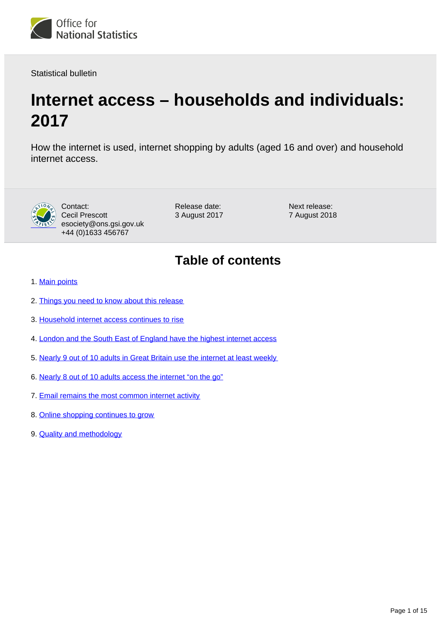

Statistical bulletin

# **Internet access – households and individuals: 2017**

How the internet is used, internet shopping by adults (aged 16 and over) and household internet access.



Contact: Cecil Prescott esociety@ons.gsi.gov.uk +44 (0)1633 456767

Release date: 3 August 2017 Next release: 7 August 2018

## **Table of contents**

- 1. [Main points](#page-1-0)
- 2. [Things you need to know about this release](#page-1-1)
- 3. [Household internet access continues to rise](#page-1-2)
- 4. [London and the South East of England have the highest internet access](#page-3-0)
- 5. [Nearly 9 out of 10 adults in Great Britain use the internet at least weekly](#page-4-0)
- 6. [Nearly 8 out of 10 adults access the internet "on the go"](#page-5-0)
- 7. [Email remains the most common internet activity](#page-6-0)
- 8. [Online shopping continues to grow](#page-8-0)
- 9. **[Quality and methodology](#page-14-0)**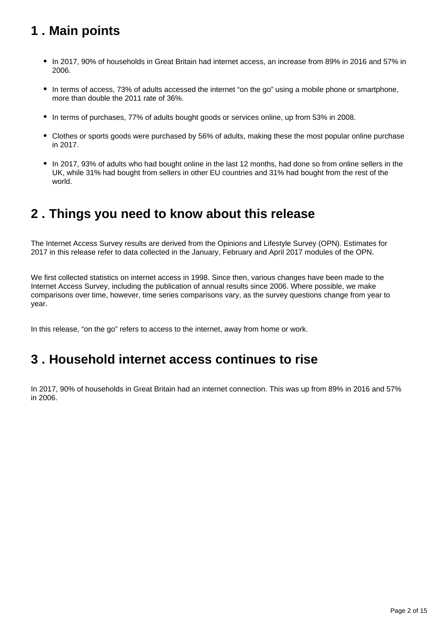## <span id="page-1-0"></span>**1 . Main points**

- In 2017, 90% of households in Great Britain had internet access, an increase from 89% in 2016 and 57% in 2006.
- In terms of access, 73% of adults accessed the internet "on the go" using a mobile phone or smartphone, more than double the 2011 rate of 36%.
- In terms of purchases, 77% of adults bought goods or services online, up from 53% in 2008.
- Clothes or sports goods were purchased by 56% of adults, making these the most popular online purchase in 2017.
- In 2017, 93% of adults who had bought online in the last 12 months, had done so from online sellers in the UK, while 31% had bought from sellers in other EU countries and 31% had bought from the rest of the world.

### <span id="page-1-1"></span>**2 . Things you need to know about this release**

The Internet Access Survey results are derived from the Opinions and Lifestyle Survey (OPN). Estimates for 2017 in this release refer to data collected in the January, February and April 2017 modules of the OPN.

We first collected statistics on internet access in 1998. Since then, various changes have been made to the Internet Access Survey, including the publication of annual results since 2006. Where possible, we make comparisons over time, however, time series comparisons vary, as the survey questions change from year to year.

In this release, "on the go" refers to access to the internet, away from home or work.

### <span id="page-1-2"></span>**3 . Household internet access continues to rise**

In 2017, 90% of households in Great Britain had an internet connection. This was up from 89% in 2016 and 57% in 2006.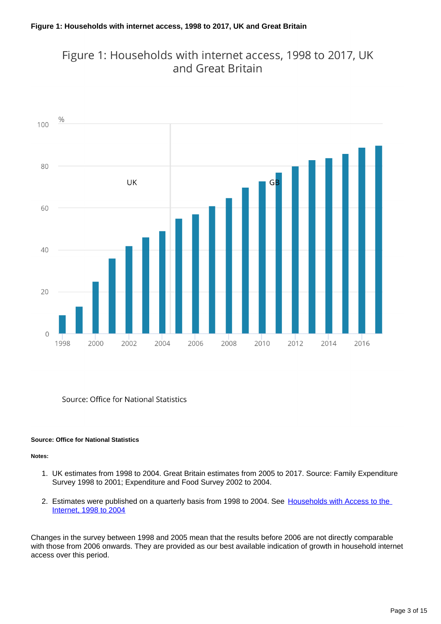### Figure 1: Households with internet access, 1998 to 2017, UK and Great Britain



Source: Office for National Statistics

#### **Source: Office for National Statistics**

#### **Notes:**

- 1. UK estimates from 1998 to 2004. Great Britain estimates from 2005 to 2017. Source: Family Expenditure Survey 1998 to 2001; Expenditure and Food Survey 2002 to 2004.
- 2. Estimates were published on a quarterly basis from 1998 to 2004. See Households with Access to the [Internet, 1998 to 2004](http://webarchive.nationalarchives.gov.uk/20160108062357tf_/http://www.ons.gov.uk/ons/publications/re-reference-tables.html?edition=tcm%3A77-48688)

Changes in the survey between 1998 and 2005 mean that the results before 2006 are not directly comparable with those from 2006 onwards. They are provided as our best available indication of growth in household internet access over this period.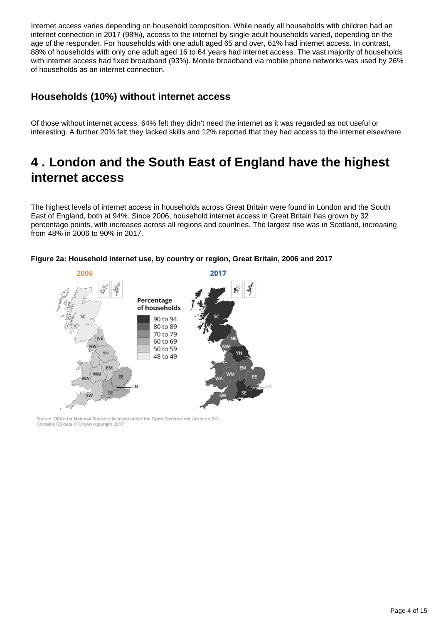Internet access varies depending on household composition. While nearly all households with children had an internet connection in 2017 (98%), access to the internet by single-adult households varied, depending on the age of the responder. For households with one adult aged 65 and over, 61% had internet access. In contrast, 88% of households with only one adult aged 16 to 64 years had internet access. The vast majority of households with internet access had fixed broadband (93%). Mobile broadband via mobile phone networks was used by 26% of households as an internet connection.

### **Households (10%) without internet access**

Of those without internet access, 64% felt they didn't need the internet as it was regarded as not useful or interesting. A further 20% felt they lacked skills and 12% reported that they had access to the internet elsewhere.

## <span id="page-3-0"></span>**4 . London and the South East of England have the highest internet access**

The highest levels of internet access in households across Great Britain were found in London and the South East of England, both at 94%. Since 2006, household internet access in Great Britain has grown by 32 percentage points, with increases across all regions and countries. The largest rise was in Scotland, increasing from 48% in 2006 to 90% in 2017.



#### **Figure 2a: Household internet use, by country or region, Great Britain, 2006 and 2017**

Source: Office for National Statistics licensed under the Open Government Licence v.3.0. Contains OS data @ Crown copyright 2017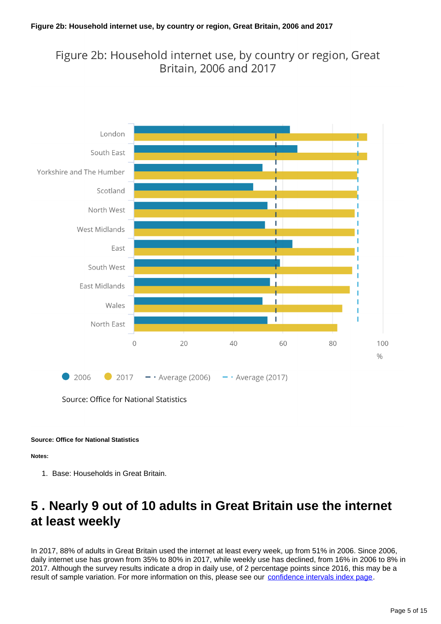### Figure 2b: Household internet use, by country or region, Great Britain, 2006 and 2017



Source: Office for National Statistics

#### **Source: Office for National Statistics**

**Notes:**

1. Base: Households in Great Britain.

## <span id="page-4-0"></span>**5 . Nearly 9 out of 10 adults in Great Britain use the internet at least weekly**

In 2017, 88% of adults in Great Britain used the internet at least every week, up from 51% in 2006. Since 2006, daily internet use has grown from 35% to 80% in 2017, while weekly use has declined, from 16% in 2006 to 8% in 2017. Although the survey results indicate a drop in daily use, of 2 percentage points since 2016, this may be a result of sample variation. For more information on this, please see our [confidence intervals index page.](https://www.ons.gov.uk/peoplepopulationandcommunity/householdcharacteristics/homeinternetandsocialmediausage/datasets/internetaccesshouseholdsandindividuals95confidenceintervals)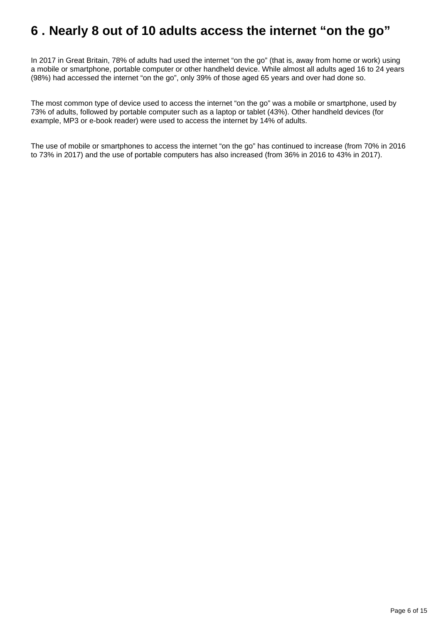## <span id="page-5-0"></span>**6 . Nearly 8 out of 10 adults access the internet "on the go"**

In 2017 in Great Britain, 78% of adults had used the internet "on the go" (that is, away from home or work) using a mobile or smartphone, portable computer or other handheld device. While almost all adults aged 16 to 24 years (98%) had accessed the internet "on the go", only 39% of those aged 65 years and over had done so.

The most common type of device used to access the internet "on the go" was a mobile or smartphone, used by 73% of adults, followed by portable computer such as a laptop or tablet (43%). Other handheld devices (for example, MP3 or e-book reader) were used to access the internet by 14% of adults.

The use of mobile or smartphones to access the internet "on the go" has continued to increase (from 70% in 2016 to 73% in 2017) and the use of portable computers has also increased (from 36% in 2016 to 43% in 2017).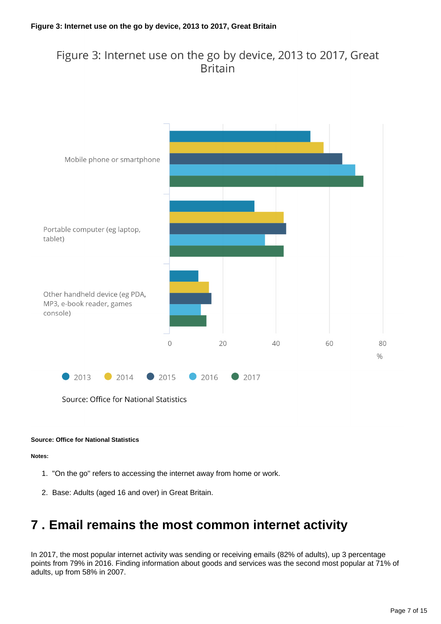### Figure 3: Internet use on the go by device, 2013 to 2017, Great **Britain**



Source: Office for National Statistics

#### **Source: Office for National Statistics**

#### **Notes:**

- 1. "On the go" refers to accessing the internet away from home or work.
- 2. Base: Adults (aged 16 and over) in Great Britain.

### <span id="page-6-0"></span>**7 . Email remains the most common internet activity**

In 2017, the most popular internet activity was sending or receiving emails (82% of adults), up 3 percentage points from 79% in 2016. Finding information about goods and services was the second most popular at 71% of adults, up from 58% in 2007.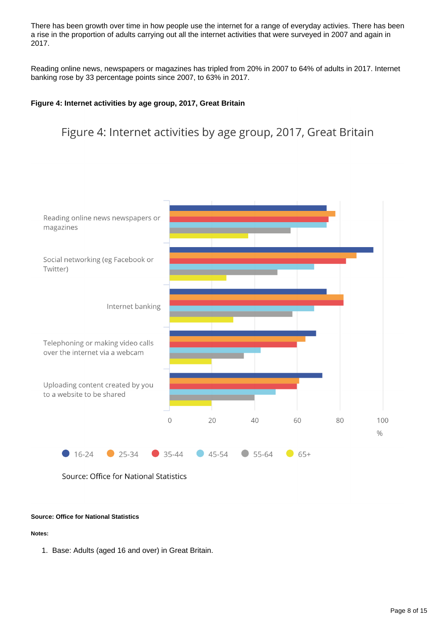There has been growth over time in how people use the internet for a range of everyday activies. There has been a rise in the proportion of adults carrying out all the internet activities that were surveyed in 2007 and again in 2017.

Reading online news, newspapers or magazines has tripled from 20% in 2007 to 64% of adults in 2017. Internet banking rose by 33 percentage points since 2007, to 63% in 2017.

#### **Figure 4: Internet activities by age group, 2017, Great Britain**

### Figure 4: Internet activities by age group, 2017, Great Britain





#### **Source: Office for National Statistics**

#### **Notes:**

1. Base: Adults (aged 16 and over) in Great Britain.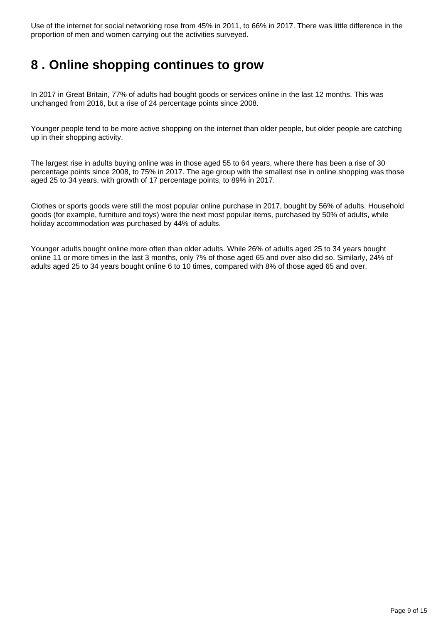Use of the internet for social networking rose from 45% in 2011, to 66% in 2017. There was little difference in the proportion of men and women carrying out the activities surveyed.

## <span id="page-8-0"></span>**8 . Online shopping continues to grow**

In 2017 in Great Britain, 77% of adults had bought goods or services online in the last 12 months. This was unchanged from 2016, but a rise of 24 percentage points since 2008.

Younger people tend to be more active shopping on the internet than older people, but older people are catching up in their shopping activity.

The largest rise in adults buying online was in those aged 55 to 64 years, where there has been a rise of 30 percentage points since 2008, to 75% in 2017. The age group with the smallest rise in online shopping was those aged 25 to 34 years, with growth of 17 percentage points, to 89% in 2017.

Clothes or sports goods were still the most popular online purchase in 2017, bought by 56% of adults. Household goods (for example, furniture and toys) were the next most popular items, purchased by 50% of adults, while holiday accommodation was purchased by 44% of adults.

Younger adults bought online more often than older adults. While 26% of adults aged 25 to 34 years bought online 11 or more times in the last 3 months, only 7% of those aged 65 and over also did so. Similarly, 24% of adults aged 25 to 34 years bought online 6 to 10 times, compared with 8% of those aged 65 and over.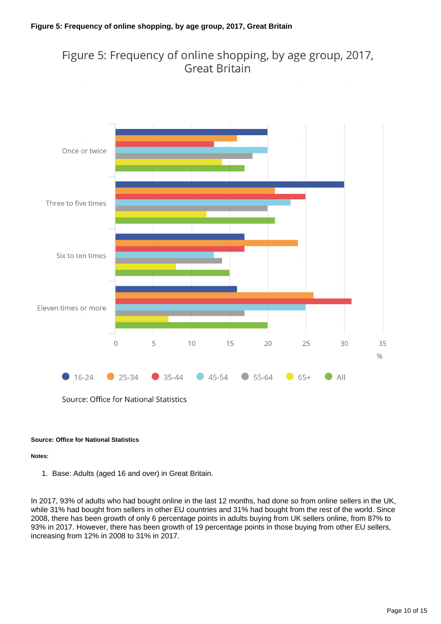### Figure 5: Frequency of online shopping, by age group, 2017, **Great Britain**



Source: Office for National Statistics

#### **Source: Office for National Statistics**

#### **Notes:**

1. Base: Adults (aged 16 and over) in Great Britain.

In 2017, 93% of adults who had bought online in the last 12 months, had done so from online sellers in the UK, while 31% had bought from sellers in other EU countries and 31% had bought from the rest of the world. Since 2008, there has been growth of only 6 percentage points in adults buying from UK sellers online, from 87% to 93% in 2017. However, there has been growth of 19 percentage points in those buying from other EU sellers, increasing from 12% in 2008 to 31% in 2017.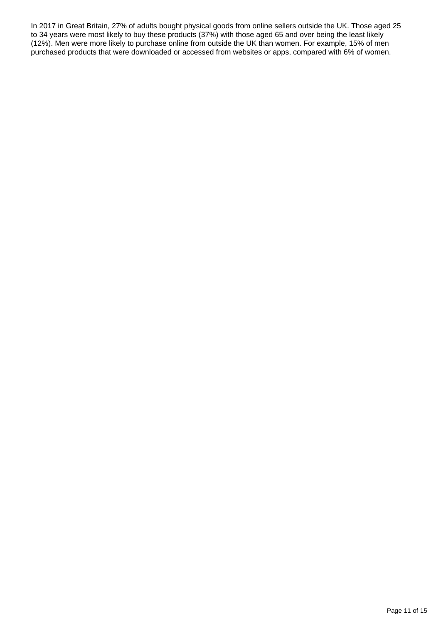In 2017 in Great Britain, 27% of adults bought physical goods from online sellers outside the UK. Those aged 25 to 34 years were most likely to buy these products (37%) with those aged 65 and over being the least likely (12%). Men were more likely to purchase online from outside the UK than women. For example, 15% of men purchased products that were downloaded or accessed from websites or apps, compared with 6% of women.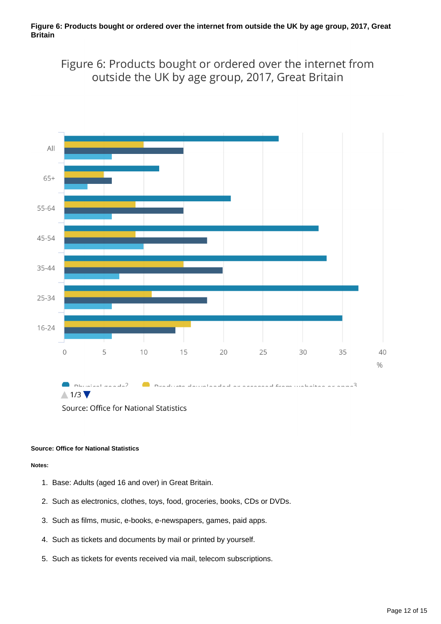Figure 6: Products bought or ordered over the internet from outside the UK by age group, 2017, Great Britain



Source: Office for National Statistics

#### **Source: Office for National Statistics**

#### **Notes:**

- 1. Base: Adults (aged 16 and over) in Great Britain.
- 2. Such as electronics, clothes, toys, food, groceries, books, CDs or DVDs.
- 3. Such as films, music, e-books, e-newspapers, games, paid apps.
- 4. Such as tickets and documents by mail or printed by yourself.
- 5. Such as tickets for events received via mail, telecom subscriptions.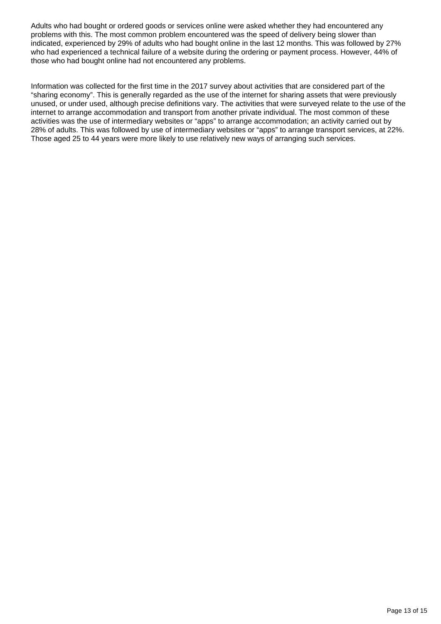Adults who had bought or ordered goods or services online were asked whether they had encountered any problems with this. The most common problem encountered was the speed of delivery being slower than indicated, experienced by 29% of adults who had bought online in the last 12 months. This was followed by 27% who had experienced a technical failure of a website during the ordering or payment process. However, 44% of those who had bought online had not encountered any problems.

Information was collected for the first time in the 2017 survey about activities that are considered part of the "sharing economy". This is generally regarded as the use of the internet for sharing assets that were previously unused, or under used, although precise definitions vary. The activities that were surveyed relate to the use of the internet to arrange accommodation and transport from another private individual. The most common of these activities was the use of intermediary websites or "apps" to arrange accommodation; an activity carried out by 28% of adults. This was followed by use of intermediary websites or "apps" to arrange transport services, at 22%. Those aged 25 to 44 years were more likely to use relatively new ways of arranging such services.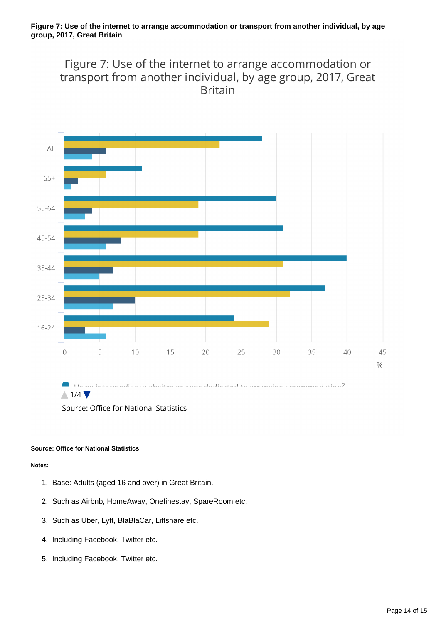Figure 7: Use of the internet to arrange accommodation or transport from another individual, by age group, 2017, Great **Britain** 



Source: Office for National Statistics

#### **Source: Office for National Statistics**

#### **Notes:**

- 1. Base: Adults (aged 16 and over) in Great Britain.
- 2. Such as Airbnb, HomeAway, Onefinestay, SpareRoom etc.
- 3. Such as Uber, Lyft, BlaBlaCar, Liftshare etc.
- 4. Including Facebook, Twitter etc.
- 5. Including Facebook, Twitter etc.